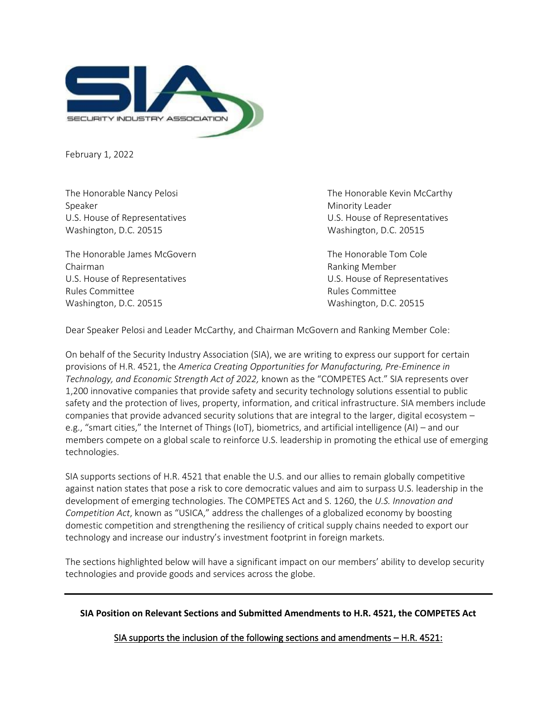

February 1, 2022

Speaker Minority Leader Washington, D.C. 20515 Washington, D.C. 20515

The Honorable James McGovern The Honorable Tom Cole Chairman Ranking Member U.S. House of Representatives U.S. House of Representatives Rules Committee **Rules Committee Rules Committee** Washington, D.C. 20515 Washington, D.C. 20515

The Honorable Nancy Pelosi **The Honorable Kevin McCarthy** U.S. House of Representatives U.S. House of Representatives

Dear Speaker Pelosi and Leader McCarthy, and Chairman McGovern and Ranking Member Cole:

On behalf of the Security Industry Association (SIA), we are writing to express our support for certain provisions of H.R. 4521, the *America Creating Opportunities for Manufacturing, Pre-Eminence in Technology, and Economic Strength Act of 2022,* known as the "COMPETES Act." SIA represents over 1,200 innovative companies that provide safety and security technology solutions essential to public safety and the protection of lives, property, information, and critical infrastructure. SIA members include companies that provide advanced security solutions that are integral to the larger, digital ecosystem – e.g., "smart cities," the Internet of Things (IoT), biometrics, and artificial intelligence (AI) – and our members compete on a global scale to reinforce U.S. leadership in promoting the ethical use of emerging technologies.

SIA supports sections of H.R. 4521 that enable the U.S. and our allies to remain globally competitive against nation states that pose a risk to core democratic values and aim to surpass U.S. leadership in the development of emerging technologies. The COMPETES Act and S. 1260, the *U.S. Innovation and Competition Act*, known as "USICA," address the challenges of a globalized economy by boosting domestic competition and strengthening the resiliency of critical supply chains needed to export our technology and increase our industry's investment footprint in foreign markets.

The sections highlighted below will have a significant impact on our members' ability to develop security technologies and provide goods and services across the globe.

**SIA Position on Relevant Sections and Submitted Amendments to H.R. 4521, the COMPETES Act**

SIA supports the inclusion of the following sections and amendments - H.R. 4521: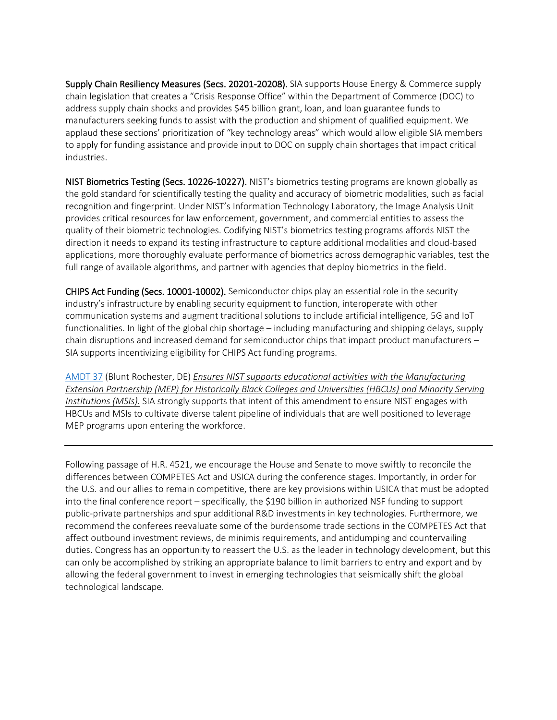Supply Chain Resiliency Measures (Secs. 20201-20208). SIA supports House Energy & Commerce supply chain legislation that creates a "Crisis Response Office" within the Department of Commerce (DOC) to address supply chain shocks and provides \$45 billion grant, loan, and loan guarantee funds to manufacturers seeking funds to assist with the production and shipment of qualified equipment. We applaud these sections' prioritization of "key technology areas" which would allow eligible SIA members to apply for funding assistance and provide input to DOC on supply chain shortages that impact critical industries.

NIST Biometrics Testing (Secs. 10226-10227). NIST's biometrics testing programs are known globally as the gold standard for scientifically testing the quality and accuracy of biometric modalities, such as facial recognition and fingerprint. Under NIST's Information Technology Laboratory, the Image Analysis Unit provides critical resources for law enforcement, government, and commercial entities to assess the quality of their biometric technologies. Codifying NIST's biometrics testing programs affords NIST the direction it needs to expand its testing infrastructure to capture additional modalities and cloud-based applications, more thoroughly evaluate performance of biometrics across demographic variables, test the full range of available algorithms, and partner with agencies that deploy biometrics in the field.

CHIPS Act Funding (Secs. 10001-10002). Semiconductor chips play an essential role in the security industry's infrastructure by enabling security equipment to function, interoperate with other communication systems and augment traditional solutions to include artificial intelligence, 5G and IoT functionalities. In light of the global chip shortage – including manufacturing and shipping delays, supply chain disruptions and increased demand for semiconductor chips that impact product manufacturers – SIA supports incentivizing eligibility for CHIPS Act funding programs.

[AMDT 37](https://amendments-rules.house.gov/amendments/BLUNTR_079_xml220128163942765.pdf) (Blunt Rochester, DE) *Ensures NIST supports educational activities with the Manufacturing Extension Partnership (MEP) for Historically Black Colleges and Universities (HBCUs) and Minority Serving Institutions (MSIs).* SIA strongly supports that intent of this amendment to ensure NIST engages with HBCUs and MSIs to cultivate diverse talent pipeline of individuals that are well positioned to leverage MEP programs upon entering the workforce.

Following passage of H.R. 4521, we encourage the House and Senate to move swiftly to reconcile the differences between COMPETES Act and USICA during the conference stages. Importantly, in order for the U.S. and our allies to remain competitive, there are key provisions within USICA that must be adopted into the final conference report – specifically, the \$190 billion in authorized NSF funding to support public-private partnerships and spur additional R&D investments in key technologies. Furthermore, we recommend the conferees reevaluate some of the burdensome trade sections in the COMPETES Act that affect outbound investment reviews, de minimis requirements, and antidumping and countervailing duties. Congress has an opportunity to reassert the U.S. as the leader in technology development, but this can only be accomplished by striking an appropriate balance to limit barriers to entry and export and by allowing the federal government to invest in emerging technologies that seismically shift the global technological landscape.